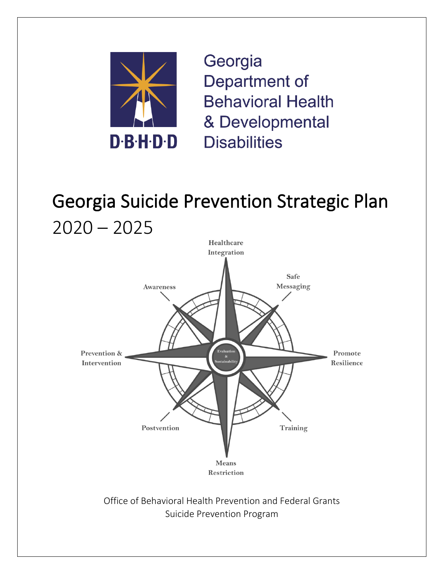

Georgia Department of **Behavioral Health** & Developmental **Disabilities** 

# Georgia Suicide Prevention Strategic Plan  $2020 - 2025$



Office of Behavioral Health Prevention and Federal Grants Suicide Prevention Program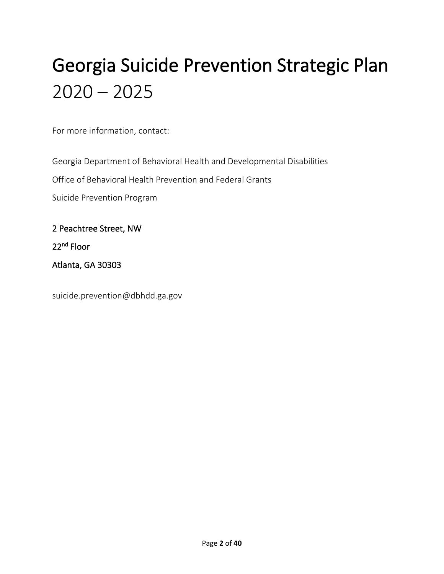# Georgia Suicide Prevention Strategic Plan  $2020 - 2025$

For more information, contact:

Georgia Department of Behavioral Health and Developmental Disabilities

Office of Behavioral Health Prevention and Federal Grants

Suicide Prevention Program

2 Peachtree Street, NW

22<sup>nd</sup> Floor

Atlanta, GA 30303

suicide.prevention@dbhdd.ga.gov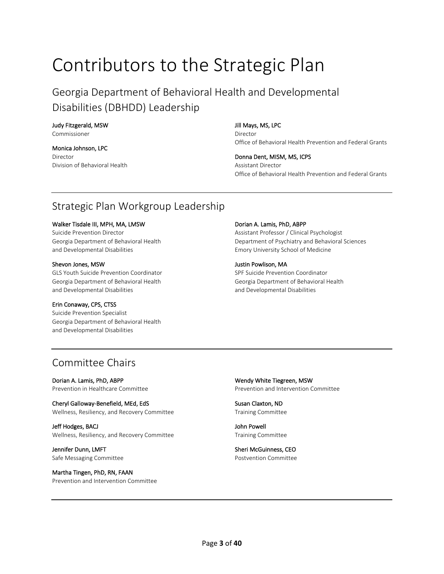# Contributors to the Strategic Plan

Georgia Department of Behavioral Health and Developmental Disabilities (DBHDD) Leadership

## Judy Fitzgerald, MSW

Commissioner

Monica Johnson, LPC Director Division of Behavioral Health

#### Jill Mays, MS, LPC

Director Office of Behavioral Health Prevention and Federal Grants

Donna Dent, MISM, MS, ICPS Assistant Director Office of Behavioral Health Prevention and Federal Grants

# Strategic Plan Workgroup Leadership

#### Walker Tisdale III, MPH, MA, LMSW

Suicide Prevention Director Georgia Department of Behavioral Health and Developmental Disabilities

#### Shevon Jones, MSW

GLS Youth Suicide Prevention Coordinator Georgia Department of Behavioral Health and Developmental Disabilities

#### Erin Conaway, CPS, CTSS

Suicide Prevention Specialist Georgia Department of Behavioral Health and Developmental Disabilities

#### Dorian A. Lamis, PhD, ABPP

Assistant Professor / Clinical Psychologist Department of Psychiatry and Behavioral Sciences Emory University School of Medicine

#### Justin Powlison, MA SPF Suicide Prevention Coordinator Georgia Department of Behavioral Health and Developmental Disabilities

# Committee Chairs

Dorian A. Lamis, PhD, ABPP Prevention in Healthcare Committee

Cheryl Galloway-Benefield, MEd, EdS Wellness, Resiliency, and Recovery Committee

Jeff Hodges, BACJ Wellness, Resiliency, and Recovery Committee

Jennifer Dunn, LMFT Safe Messaging Committee

Martha Tingen, PhD, RN, FAAN Prevention and Intervention Committee Wendy White Tiegreen, MSW Prevention and Intervention Committee

Susan Claxton, ND Training Committee

John Powell Training Committee

Sheri McGuinness, CEO Postvention Committee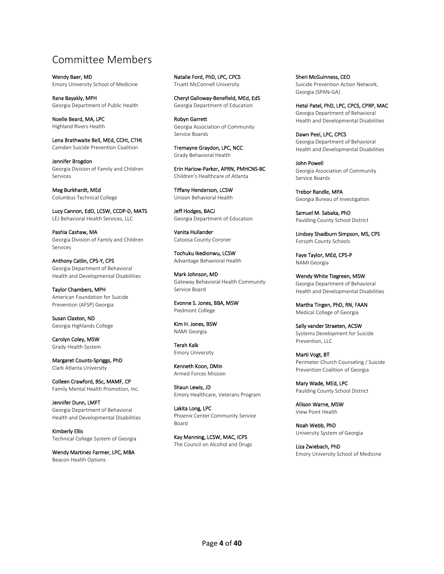# Committee Members

Wendy Baer, MD Emory University School of Medicine

Rana Bayakly, MPH Georgia Department of Public Health

Noelle Beard, MA, LPC Highland Rivers Health

Lena Brathwaite Bell, MEd, CCHt, CTHt Camden Suicide Prevention Coalition

Jennifer Brogdon Georgia Division of Family and Children Services

Meg Burkhardt, MEd Columbus Technical College

Lucy Cannon, EdD, LCSW, CCDP-D, MATS LEJ Behavioral Health Services, LLC

Pashia Cashaw, MA Georgia Division of Family and Children Services

Anthony Catlin, CPS-Y, CPS Georgia Department of Behavioral Health and Developmental Disabilities

Taylor Chambers, MPH American Foundation for Suicide Prevention (AFSP) Georgia

Susan Claxton, ND Georgia Highlands College

Carolyn Coley, MSW Grady Health System

Margaret Counts-Spriggs, PhD Clark Atlanta University

Colleen Crawford, BSc, MAMF, CP Family Mental Health Promotion, Inc.

Jennifer Dunn, LMFT Georgia Department of Behavioral Health and Developmental Disabilities

Kimberly Ellis Technical College System of Georgia

Wendy Martinez Farmer, LPC, MBA Beacon Health Options

Natalie Ford, PhD, LPC, CPCS Truett McConnell University

Cheryl Galloway-Benefield, MEd, EdS Georgia Department of Education

Robyn Garrett Georgia Association of Community Service Boards

Tremayne Graydon, LPC, NCC Grady Behavioral Health

Erin Harlow-Parker, APRN, PMHCNS-BC Children's Healthcare of Atlanta

Tiffany Henderson, LCSW Unison Behavioral Health

Jeff Hodges, BACJ Georgia Department of Education

Vanita Hullander Catoosa County Coroner

Tochuku Ikedionwu, LCSW Advantage Behavioral Health

Mark Johnson, MD Gateway Behavioral Health Community Service Board

Evonne S. Jones, BBA, MSW Piedmont College

Kim H. Jones, BSW NAMI Georgia

Terah Kalk Emory University

Kenneth Koon, DMin Armed Forces Mission

Shaun Lewis, JD Emory Healthcare, Veterans Program

Lakita Long, LPC Phoenix Center Community Service Board

Kay Manning, LCSW, MAC, ICPS The Council on Alcohol and Drugs Sheri McGuinness, CEO Suicide Prevention Action Network, Georgia (SPAN-GA)

Hetal Patel, PhD, LPC, CPCS, CPRP, MAC Georgia Department of Behavioral Health and Developmental Disabilities

Dawn Peel, LPC, CPCS Georgia Department of Behavioral Health and Developmental Disabilities

John Powell Georgia Association of Community Service Boards

Trebor Randle, MPA Georgia Bureau of Investigation

Samuel M. Sabaka, PhD Paulding County School District

Lindsey Shadburn Simpson, MS, CPS Forsyth County Schools

Faye Taylor, MEd, CPS-P NAMI Georgia

Wendy White Tiegreen, MSW Georgia Department of Behavioral Health and Developmental Disabilities

Martha Tingen, PhD, RN, FAAN Medical College of Georgia

Sally vander Straeten, ACSW Systems Development for Suicide Prevention, LLC

Marti Vogt, BT Perimeter Church Counseling / Suicide Prevention Coalition of Georgia

Mary Wade, MEd, LPC Paulding County School District

Allison Warne, MSW View Point Health

Noah Webb, PhD University System of Georgia

Liza Zwiebach, PhD Emory University School of Medicine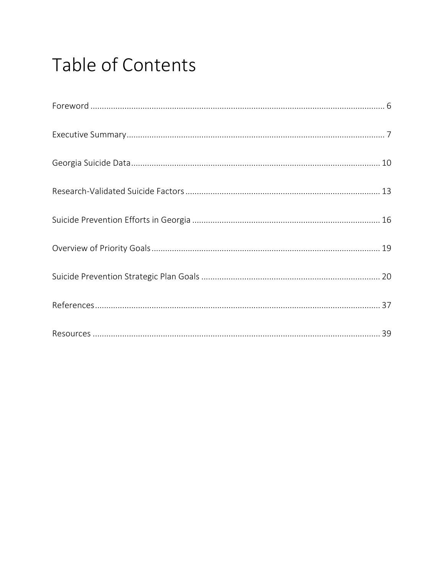# Table of Contents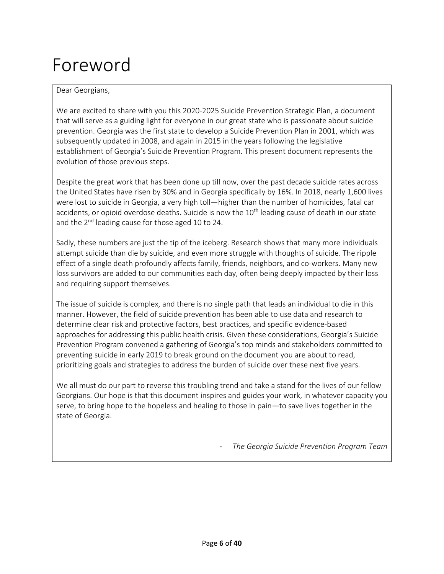# Foreword

#### Dear Georgians,

We are excited to share with you this 2020-2025 Suicide Prevention Strategic Plan, a document that will serve as a guiding light for everyone in our great state who is passionate about suicide prevention. Georgia was the first state to develop a Suicide Prevention Plan in 2001, which was subsequently updated in 2008, and again in 2015 in the years following the legislative establishment of Georgia's Suicide Prevention Program. This present document represents the evolution of those previous steps.

Despite the great work that has been done up till now, over the past decade suicide rates across the United States have risen by 30% and in Georgia specifically by 16%. In 2018, nearly 1,600 lives were lost to suicide in Georgia, a very high toll—higher than the number of homicides, fatal car accidents, or opioid overdose deaths. Suicide is now the 10<sup>th</sup> leading cause of death in our state and the 2<sup>nd</sup> leading cause for those aged 10 to 24.

Sadly, these numbers are just the tip of the iceberg. Research shows that many more individuals attempt suicide than die by suicide, and even more struggle with thoughts of suicide. The ripple effect of a single death profoundly affects family, friends, neighbors, and co-workers. Many new loss survivors are added to our communities each day, often being deeply impacted by their loss and requiring support themselves.

The issue of suicide is complex, and there is no single path that leads an individual to die in this manner. However, the field of suicide prevention has been able to use data and research to determine clear risk and protective factors, best practices, and specific evidence-based approaches for addressing this public health crisis. Given these considerations, Georgia's Suicide Prevention Program convened a gathering of Georgia's top minds and stakeholders committed to preventing suicide in early 2019 to break ground on the document you are about to read, prioritizing goals and strategies to address the burden of suicide over these next five years.

We all must do our part to reverse this troubling trend and take a stand for the lives of our fellow Georgians. Our hope is that this document inspires and guides your work, in whatever capacity you serve, to bring hope to the hopeless and healing to those in pain—to save lives together in the state of Georgia.

*- The Georgia Suicide Prevention Program Team*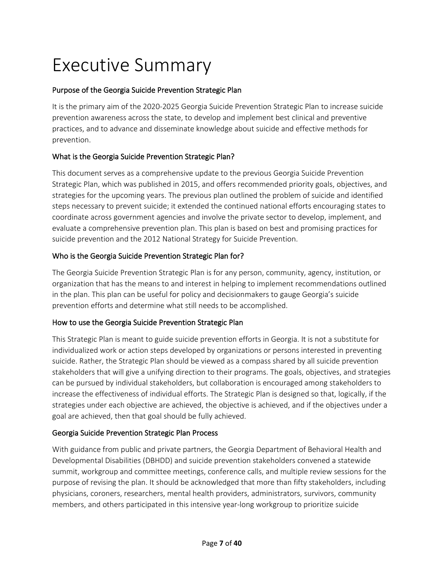# Executive Summary

#### Purpose of the Georgia Suicide Prevention Strategic Plan

It is the primary aim of the 2020-2025 Georgia Suicide Prevention Strategic Plan to increase suicide prevention awareness across the state, to develop and implement best clinical and preventive practices, and to advance and disseminate knowledge about suicide and effective methods for prevention.

#### What is the Georgia Suicide Prevention Strategic Plan?

This document serves as a comprehensive update to the previous Georgia Suicide Prevention Strategic Plan, which was published in 2015, and offers recommended priority goals, objectives, and strategies for the upcoming years. The previous plan outlined the problem of suicide and identified steps necessary to prevent suicide; it extended the continued national efforts encouraging states to coordinate across government agencies and involve the private sector to develop, implement, and evaluate a comprehensive prevention plan. This plan is based on best and promising practices for suicide prevention and the 2012 National Strategy for Suicide Prevention.

#### Who is the Georgia Suicide Prevention Strategic Plan for?

The Georgia Suicide Prevention Strategic Plan is for any person, community, agency, institution, or organization that has the means to and interest in helping to implement recommendations outlined in the plan. This plan can be useful for policy and decisionmakers to gauge Georgia's suicide prevention efforts and determine what still needs to be accomplished.

#### How to use the Georgia Suicide Prevention Strategic Plan

This Strategic Plan is meant to guide suicide prevention efforts in Georgia. It is not a substitute for individualized work or action steps developed by organizations or persons interested in preventing suicide. Rather, the Strategic Plan should be viewed as a compass shared by all suicide prevention stakeholders that will give a unifying direction to their programs. The goals, objectives, and strategies can be pursued by individual stakeholders, but collaboration is encouraged among stakeholders to increase the effectiveness of individual efforts. The Strategic Plan is designed so that, logically, if the strategies under each objective are achieved, the objective is achieved, and if the objectives under a goal are achieved, then that goal should be fully achieved.

#### Georgia Suicide Prevention Strategic Plan Process

With guidance from public and private partners, the Georgia Department of Behavioral Health and Developmental Disabilities (DBHDD) and suicide prevention stakeholders convened a statewide summit, workgroup and committee meetings, conference calls, and multiple review sessions for the purpose of revising the plan. It should be acknowledged that more than fifty stakeholders, including physicians, coroners, researchers, mental health providers, administrators, survivors, community members, and others participated in this intensive year-long workgroup to prioritize suicide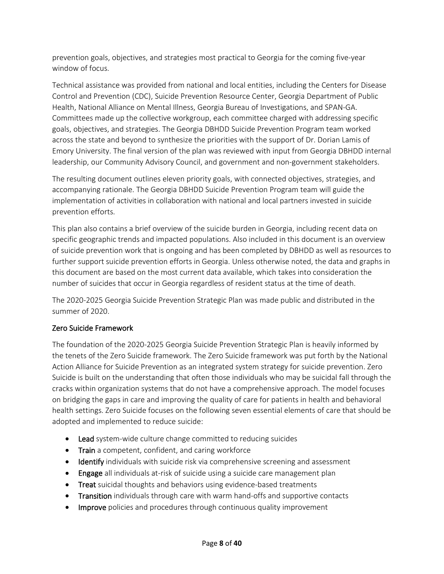prevention goals, objectives, and strategies most practical to Georgia for the coming five-year window of focus.

Technical assistance was provided from national and local entities, including the Centers for Disease Control and Prevention (CDC), Suicide Prevention Resource Center, Georgia Department of Public Health, National Alliance on Mental Illness, Georgia Bureau of Investigations, and SPAN-GA. Committees made up the collective workgroup, each committee charged with addressing specific goals, objectives, and strategies. The Georgia DBHDD Suicide Prevention Program team worked across the state and beyond to synthesize the priorities with the support of Dr. Dorian Lamis of Emory University. The final version of the plan was reviewed with input from Georgia DBHDD internal leadership, our Community Advisory Council, and government and non-government stakeholders.

The resulting document outlines eleven priority goals, with connected objectives, strategies, and accompanying rationale. The Georgia DBHDD Suicide Prevention Program team will guide the implementation of activities in collaboration with national and local partners invested in suicide prevention efforts.

This plan also contains a brief overview of the suicide burden in Georgia, including recent data on specific geographic trends and impacted populations. Also included in this document is an overview of suicide prevention work that is ongoing and has been completed by DBHDD as well as resources to further support suicide prevention efforts in Georgia. Unless otherwise noted, the data and graphs in this document are based on the most current data available, which takes into consideration the number of suicides that occur in Georgia regardless of resident status at the time of death.

The 2020-2025 Georgia Suicide Prevention Strategic Plan was made public and distributed in the summer of 2020.

#### Zero Suicide Framework

The foundation of the 2020-2025 Georgia Suicide Prevention Strategic Plan is heavily informed by the tenets of the Zero Suicide framework. The Zero Suicide framework was put forth by the National Action Alliance for Suicide Prevention as an integrated system strategy for suicide prevention. Zero Suicide is built on the understanding that often those individuals who may be suicidal fall through the cracks within organization systems that do not have a comprehensive approach. The model focuses on bridging the gaps in care and improving the quality of care for patients in health and behavioral health settings. Zero Suicide focuses on the following seven essential elements of care that should be adopted and implemented to reduce suicide:

- Lead system-wide culture change committed to reducing suicides
- Train a competent, confident, and caring workforce
- Identify individuals with suicide risk via comprehensive screening and assessment
- Engage all individuals at-risk of suicide using a suicide care management plan
- Treat suicidal thoughts and behaviors using evidence-based treatments
- Transition individuals through care with warm hand-offs and supportive contacts
- Improve policies and procedures through continuous quality improvement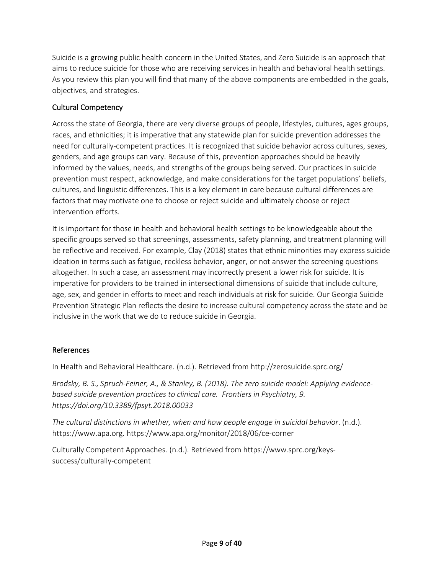Suicide is a growing public health concern in the United States, and Zero Suicide is an approach that aims to reduce suicide for those who are receiving services in health and behavioral health settings. As you review this plan you will find that many of the above components are embedded in the goals, objectives, and strategies.

#### Cultural Competency

Across the state of Georgia, there are very diverse groups of people, lifestyles, cultures, ages groups, races, and ethnicities; it is imperative that any statewide plan for suicide prevention addresses the need for culturally-competent practices. It is recognized that suicide behavior across cultures, sexes, genders, and age groups can vary. Because of this, prevention approaches should be heavily informed by the values, needs, and strengths of the groups being served. Our practices in suicide prevention must respect, acknowledge, and make considerations for the target populations' beliefs, cultures, and linguistic differences. This is a key element in care because cultural differences are factors that may motivate one to choose or reject suicide and ultimately choose or reject intervention efforts.

It is important for those in health and behavioral health settings to be knowledgeable about the specific groups served so that screenings, assessments, safety planning, and treatment planning will be reflective and received. For example, Clay (2018) states that ethnic minorities may express suicide ideation in terms such as fatigue, reckless behavior, anger, or not answer the screening questions altogether. In such a case, an assessment may incorrectly present a lower risk for suicide. It is imperative for providers to be trained in intersectional dimensions of suicide that include culture, age, sex, and gender in efforts to meet and reach individuals at risk for suicide. Our Georgia Suicide Prevention Strategic Plan reflects the desire to increase cultural competency across the state and be inclusive in the work that we do to reduce suicide in Georgia.

#### References

In Health and Behavioral Healthcare. (n.d.). Retrieved from http://zerosuicide.sprc.org/

*Brodsky, B. S., Spruch-Feiner, A., & Stanley, B. (2018). The zero suicide model: Applying evidencebased suicide prevention practices to clinical care. Frontiers in Psychiatry, 9. https://doi.org/10.3389/fpsyt.2018.00033*

*The cultural distinctions in whether, when and how people engage in suicidal behavior*. (n.d.). https://www.apa.org. https://www.apa.org/monitor/2018/06/ce-corner

Culturally Competent Approaches. (n.d.). Retrieved from https://www.sprc.org/keyssuccess/culturally-competent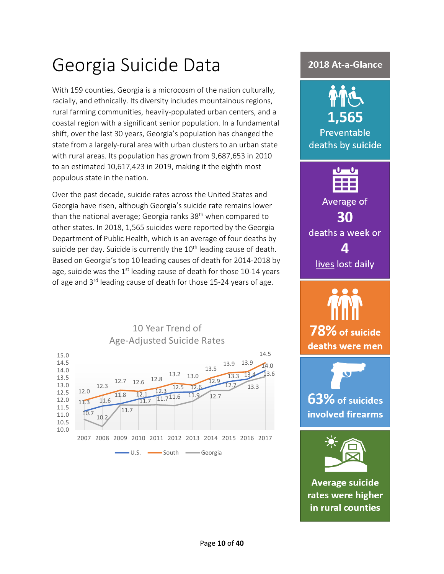# Georgia Suicide Data

With 159 counties, Georgia is a microcosm of the nation culturally, racially, and ethnically. Its diversity includes mountainous regions, rural farming communities, heavily-populated urban centers, and a coastal region with a significant senior population. In a fundamental shift, over the last 30 years, Georgia's population has changed the state from a largely-rural area with urban clusters to an urban state with rural areas. Its population has grown from 9,687,653 in 2010 to an estimated 10,617,423 in 2019, making it the eighth most populous state in the nation.

Over the past decade, suicide rates across the United States and Georgia have risen, although Georgia's suicide rate remains lower than the national average; Georgia ranks 38<sup>th</sup> when compared to other states. In 2018, 1,565 suicides were reported by the Georgia Department of Public Health, which is an average of four deaths by suicide per day. Suicide is currently the 10<sup>th</sup> leading cause of death. Based on Georgia's top 10 leading causes of death for 2014-2018 by age, suicide was the  $1<sup>st</sup>$  leading cause of death for those 10-14 years of age and 3<sup>rd</sup> leading cause of death for those 15-24 years of age.



# ..565 Preventable deaths by suicide Average of 30 deaths a week or lives lost daily 78% of suicide deaths were men 63% of suicides involved firearms **Average suicide** rates were higher in rural counties

2018 At-a-Glance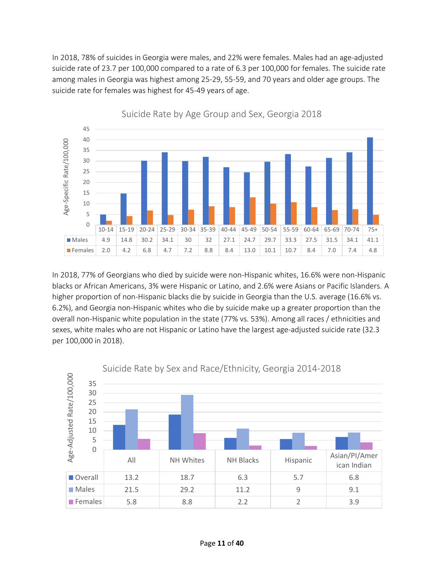In 2018, 78% of suicides in Georgia were males, and 22% were females. Males had an age-adjusted suicide rate of 23.7 per 100,000 compared to a rate of 6.3 per 100,000 for females. The suicide rate among males in Georgia was highest among 25-29, 55-59, and 70 years and older age groups. The suicide rate for females was highest for 45-49 years of age.



Suicide Rate by Age Group and Sex, Georgia 2018

In 2018, 77% of Georgians who died by suicide were non-Hispanic whites, 16.6% were non-Hispanic blacks or African Americans, 3% were Hispanic or Latino, and 2.6% were Asians or Pacific Islanders. A higher proportion of non-Hispanic blacks die by suicide in Georgia than the U.S. average (16.6% vs. 6.2%), and Georgia non-Hispanic whites who die by suicide make up a greater proportion than the overall non-Hispanic white population in the state (77% vs. 53%). Among all races / ethnicities and sexes, white males who are not Hispanic or Latino have the largest age-adjusted suicide rate (32.3 per 100,000 in 2018).

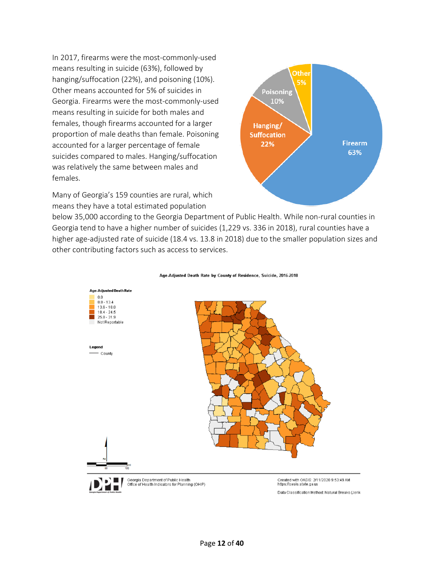In 2017, firearms were the most-commonly-used means resulting in suicide (63%), followed by hanging/suffocation (22%), and poisoning (10%). Other means accounted for 5% of suicides in Georgia. Firearms were the most-commonly-used means resulting in suicide for both males and females, though firearms accounted for a larger proportion of male deaths than female. Poisoning accounted for a larger percentage of female suicides compared to males. Hanging/suffocation was relatively the same between males and females.

Many of Georgia's 159 counties are rural, which means they have a total estimated population



below 35,000 according to the Georgia Department of Public Health. While non-rural counties in Georgia tend to have a higher number of suicides (1,229 vs. 336 in 2018), rural counties have a higher age-adjusted rate of suicide (18.4 vs. 13.8 in 2018) due to the smaller population sizes and other contributing factors such as access to services.



#### Age-Adjusted Death Rate by County of Residence, Suicide, 2016-2018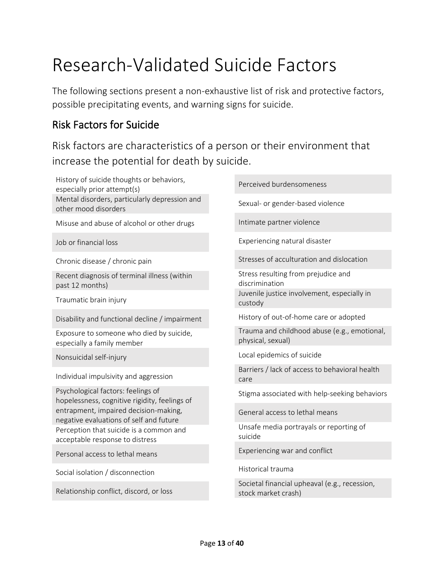# Research-Validated Suicide Factors

The following sections present a non-exhaustive list of risk and protective factors, possible precipitating events, and warning signs for suicide.

## Risk Factors for Suicide

Risk factors are characteristics of a person or their environment that increase the potential for death by suicide.

History of suicide thoughts or behaviors, especially prior attempt(s) Mental disorders, particularly depression and other mood disorders Misuse and abuse of alcohol or other drugs Job or financial loss Chronic disease / chronic pain Recent diagnosis of terminal illness (within past 12 months) Traumatic brain injury Disability and functional decline / impairment Exposure to someone who died by suicide, especially a family member Nonsuicidal self-injury Individual impulsivity and aggression

Psychological factors: feelings of hopelessness, cognitive rigidity, feelings of entrapment, impaired decision-making, negative evaluations of self and future Perception that suicide is a common and acceptable response to distress

Personal access to lethal means

Social isolation / disconnection

Relationship conflict, discord, or loss

Perceived burdensomeness

Sexual- or gender-based violence

Intimate partner violence

Experiencing natural disaster

Stresses of acculturation and dislocation

Stress resulting from prejudice and discrimination Juvenile justice involvement, especially in custody

History of out-of-home care or adopted

Trauma and childhood abuse (e.g., emotional, physical, sexual)

Local epidemics of suicide

Barriers / lack of access to behavioral health care

Stigma associated with help-seeking behaviors

General access to lethal means

Unsafe media portrayals or reporting of suicide

Experiencing war and conflict

Historical trauma

Societal financial upheaval (e.g., recession, stock market crash)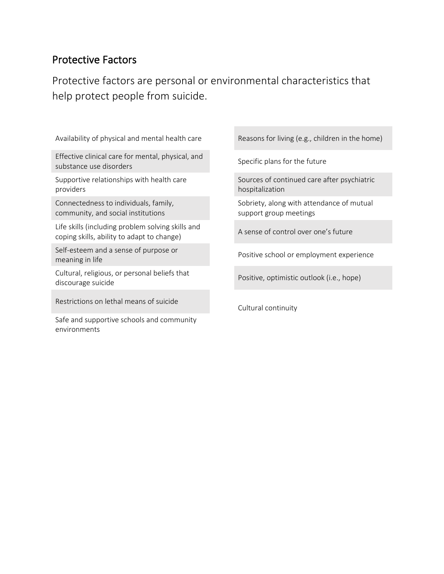# Protective Factors

Protective factors are personal or environmental characteristics that help protect people from suicide.

Availability of physical and mental health care

Effective clinical care for mental, physical, and substance use disorders

Supportive relationships with health care providers

Connectedness to individuals, family, community, and social institutions

Life skills (including problem solving skills and coping skills, ability to adapt to change)

Self-esteem and a sense of purpose or meaning in life

Cultural, religious, or personal beliefs that discourage suicide

Restrictions on lethal means of suicide

Safe and supportive schools and community environments

Reasons for living (e.g., children in the home)

Specific plans for the future

Sources of continued care after psychiatric hospitalization

Sobriety, along with attendance of mutual support group meetings

A sense of control over one's future

Positive school or employment experience

Positive, optimistic outlook (i.e., hope)

Cultural continuity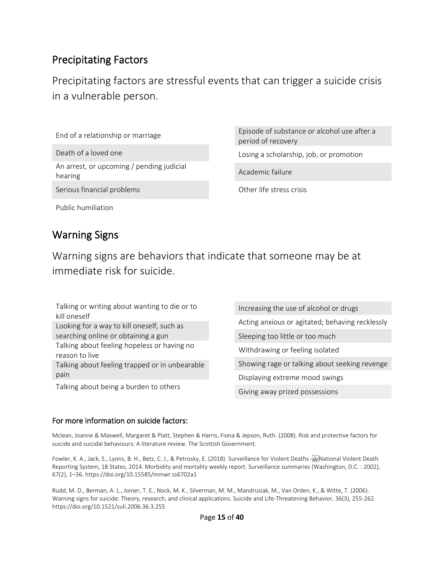# Precipitating Factors

Precipitating factors are stressful events that can trigger a suicide crisis in a vulnerable person.

End of a relationship or marriage

Death of a loved one

An arrest, or upcoming / pending judicial hearing

Serious financial problems

Episode of substance or alcohol use after a period of recovery

Losing a scholarship, job, or promotion

Academic failure

Other life stress crisis

Public humiliation

# Warning Signs

Warning signs are behaviors that indicate that someone may be at immediate risk for suicide.

Talking or writing about wanting to die or to kill oneself Looking for a way to kill oneself, such as searching online or obtaining a gun Talking about feeling hopeless or having no reason to live Talking about feeling trapped or in unbearable pain

Talking about being a burden to others

Increasing the use of alcohol or drugs Acting anxious or agitated; behaving recklessly Sleeping too little or too much Withdrawing or feeling isolated Showing rage or talking about seeking revenge Displaying extreme mood swings Giving away prized possessions

#### For more information on suicide factors:

Mclean, Joanne & Maxwell, Margaret & Platt, Stephen & Harris, Fiona & Jepson, Ruth. (2008). Risk and protective factors for suicide and suicidal behaviours: A literature review. The Scottish Government.

Fowler, K. A., Jack, S., Lyons, B. H., Betz, C. J., & Petrosky, E. (2018). Surveillance for Violent Deaths - Figh ational Violent Death Reporting System, 18 States, 2014. Morbidity and mortality weekly report. Surveillance summaries (Washington, D.C. : 2002), 67(2), 1–36. https://doi.org/10.15585/mmwr.ss6702a1

Rudd, M. D., Berman, A. L., Joiner, T. E., Nock, M. K., Silverman, M. M., Mandrusiak, M., Van Orden, K., & Witte, T. (2006). Warning signs for suicide: Theory, research, and clinical applications. Suicide and Life-Threatening Behavior, 36(3), 255-262. https://doi.org/10.1521/suli.2006.36.3.255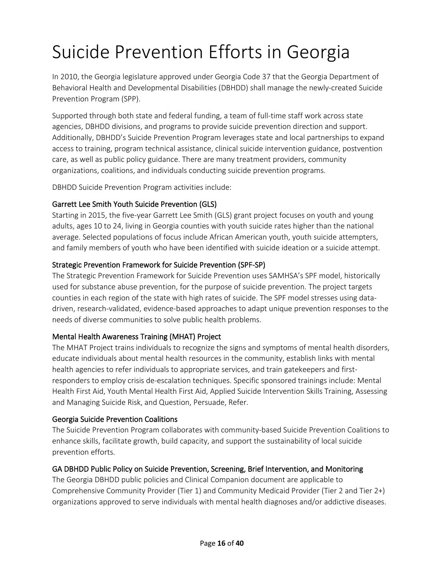# Suicide Prevention Efforts in Georgia

In 2010, the Georgia legislature approved under Georgia Code 37 that the Georgia Department of Behavioral Health and Developmental Disabilities (DBHDD) shall manage the newly-created Suicide Prevention Program (SPP).

Supported through both state and federal funding, a team of full-time staff work across state agencies, DBHDD divisions, and programs to provide suicide prevention direction and support. Additionally, DBHDD's Suicide Prevention Program leverages state and local partnerships to expand access to training, program technical assistance, clinical suicide intervention guidance, postvention care, as well as public policy guidance. There are many treatment providers, community organizations, coalitions, and individuals conducting suicide prevention programs.

DBHDD Suicide Prevention Program activities include:

#### Garrett Lee Smith Youth Suicide Prevention (GLS)

Starting in 2015, the five-year Garrett Lee Smith (GLS) grant project focuses on youth and young adults, ages 10 to 24, living in Georgia counties with youth suicide rates higher than the national average. Selected populations of focus include African American youth, youth suicide attempters, and family members of youth who have been identified with suicide ideation or a suicide attempt.

#### Strategic Prevention Framework for Suicide Prevention (SPF-SP)

The Strategic Prevention Framework for Suicide Prevention uses SAMHSA's SPF model, historically used for substance abuse prevention, for the purpose of suicide prevention. The project targets counties in each region of the state with high rates of suicide. The SPF model stresses using datadriven, research-validated, evidence-based approaches to adapt unique prevention responses to the needs of diverse communities to solve public health problems.

#### Mental Health Awareness Training (MHAT) Project

The MHAT Project trains individuals to recognize the signs and symptoms of mental health disorders, educate individuals about mental health resources in the community, establish links with mental health agencies to refer individuals to appropriate services, and train gatekeepers and firstresponders to employ crisis de-escalation techniques. Specific sponsored trainings include: Mental Health First Aid, Youth Mental Health First Aid, Applied Suicide Intervention Skills Training, Assessing and Managing Suicide Risk, and Question, Persuade, Refer.

#### Georgia Suicide Prevention Coalitions

The Suicide Prevention Program collaborates with community-based Suicide Prevention Coalitions to enhance skills, facilitate growth, build capacity, and support the sustainability of local suicide prevention efforts.

#### GA DBHDD Public Policy on Suicide Prevention, Screening, Brief Intervention, and Monitoring

The Georgia DBHDD public policies and Clinical Companion document are applicable to Comprehensive Community Provider (Tier 1) and Community Medicaid Provider (Tier 2 and Tier 2+) organizations approved to serve individuals with mental health diagnoses and/or addictive diseases.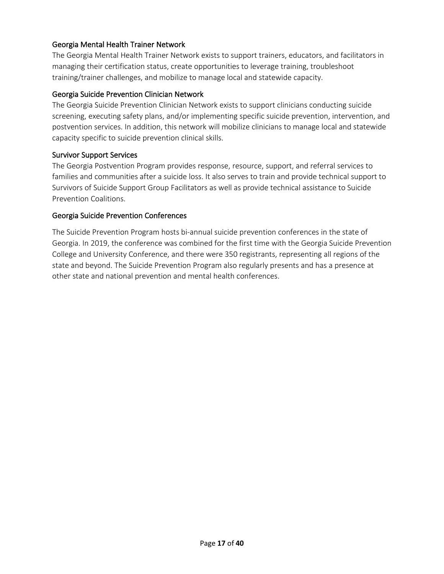#### Georgia Mental Health Trainer Network

The Georgia Mental Health Trainer Network exists to support trainers, educators, and facilitators in managing their certification status, create opportunities to leverage training, troubleshoot training/trainer challenges, and mobilize to manage local and statewide capacity.

#### Georgia Suicide Prevention Clinician Network

The Georgia Suicide Prevention Clinician Network exists to support clinicians conducting suicide screening, executing safety plans, and/or implementing specific suicide prevention, intervention, and postvention services. In addition, this network will mobilize clinicians to manage local and statewide capacity specific to suicide prevention clinical skills.

#### Survivor Support Services

The Georgia Postvention Program provides response, resource, support, and referral services to families and communities after a suicide loss. It also serves to train and provide technical support to Survivors of Suicide Support Group Facilitators as well as provide technical assistance to Suicide Prevention Coalitions.

#### Georgia Suicide Prevention Conferences

The Suicide Prevention Program hosts bi-annual suicide prevention conferences in the state of Georgia. In 2019, the conference was combined for the first time with the Georgia Suicide Prevention College and University Conference, and there were 350 registrants, representing all regions of the state and beyond. The Suicide Prevention Program also regularly presents and has a presence at other state and national prevention and mental health conferences.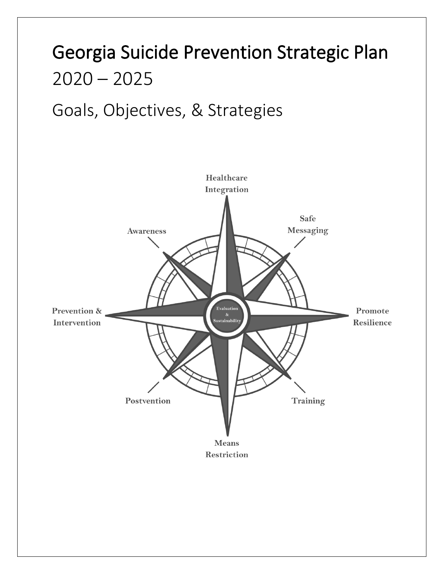# Georgia Suicide Prevention Strategic Plan  $2020 - 2025$

# Goals, Objectives, & Strategies

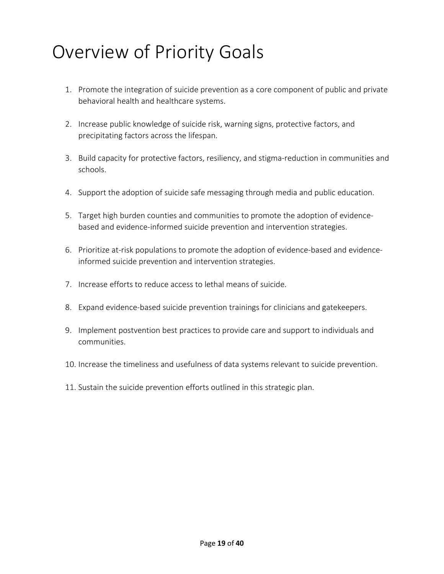# Overview of Priority Goals

- 1. Promote the integration of suicide prevention as a core component of public and private behavioral health and healthcare systems.
- 2. Increase public knowledge of suicide risk, warning signs, protective factors, and precipitating factors across the lifespan.
- 3. Build capacity for protective factors, resiliency, and stigma-reduction in communities and schools.
- 4. Support the adoption of suicide safe messaging through media and public education.
- 5. Target high burden counties and communities to promote the adoption of evidencebased and evidence-informed suicide prevention and intervention strategies.
- 6. Prioritize at-risk populations to promote the adoption of evidence-based and evidenceinformed suicide prevention and intervention strategies.
- 7. Increase efforts to reduce access to lethal means of suicide.
- 8. Expand evidence-based suicide prevention trainings for clinicians and gatekeepers.
- 9. Implement postvention best practices to provide care and support to individuals and communities.
- 10. Increase the timeliness and usefulness of data systems relevant to suicide prevention.
- 11. Sustain the suicide prevention efforts outlined in this strategic plan.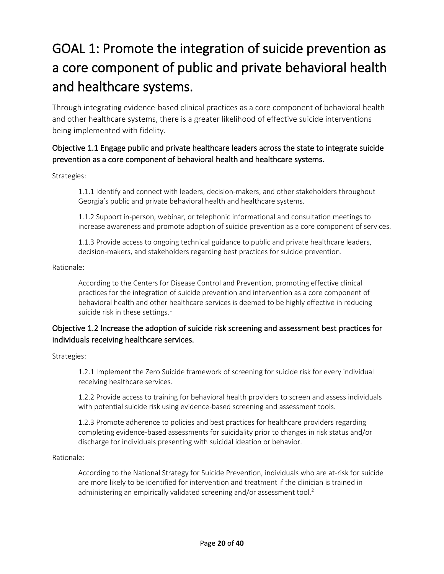# GOAL 1: Promote the integration of suicide prevention as a core component of public and private behavioral health and healthcare systems.

Through integrating evidence-based clinical practices as a core component of behavioral health and other healthcare systems, there is a greater likelihood of effective suicide interventions being implemented with fidelity.

### Objective 1.1 Engage public and private healthcare leaders across the state to integrate suicide prevention as a core component of behavioral health and healthcare systems.

Strategies:

1.1.1 Identify and connect with leaders, decision-makers, and other stakeholders throughout Georgia's public and private behavioral health and healthcare systems.

1.1.2 Support in-person, webinar, or telephonic informational and consultation meetings to increase awareness and promote adoption of suicide prevention as a core component of services.

1.1.3 Provide access to ongoing technical guidance to public and private healthcare leaders, decision-makers, and stakeholders regarding best practices for suicide prevention.

Rationale:

According to the Centers for Disease Control and Prevention, promoting effective clinical practices for the integration of suicide prevention and intervention as a core component of behavioral health and other healthcare services is deemed to be highly effective in reducing suicide risk in these settings.<sup>1</sup>

#### Objective 1.2 Increase the adoption of suicide risk screening and assessment best practices for individuals receiving healthcare services.

Strategies:

1.2.1 Implement the Zero Suicide framework of screening for suicide risk for every individual receiving healthcare services.

1.2.2 Provide access to training for behavioral health providers to screen and assess individuals with potential suicide risk using evidence-based screening and assessment tools.

1.2.3 Promote adherence to policies and best practices for healthcare providers regarding completing evidence-based assessments for suicidality prior to changes in risk status and/or discharge for individuals presenting with suicidal ideation or behavior.

#### Rationale:

According to the National Strategy for Suicide Prevention, individuals who are at-risk for suicide are more likely to be identified for intervention and treatment if the clinician is trained in administering an empirically validated screening and/or assessment tool.<sup>2</sup>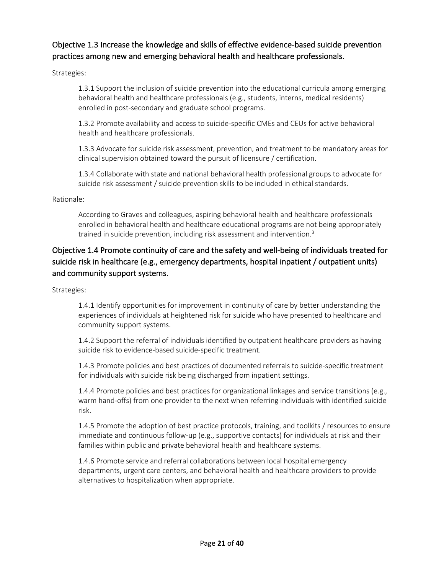### Objective 1.3 Increase the knowledge and skills of effective evidence-based suicide prevention practices among new and emerging behavioral health and healthcare professionals.

Strategies:

1.3.1 Support the inclusion of suicide prevention into the educational curricula among emerging behavioral health and healthcare professionals (e.g., students, interns, medical residents) enrolled in post-secondary and graduate school programs.

1.3.2 Promote availability and access to suicide-specific CMEs and CEUs for active behavioral health and healthcare professionals.

1.3.3 Advocate for suicide risk assessment, prevention, and treatment to be mandatory areas for clinical supervision obtained toward the pursuit of licensure / certification.

1.3.4 Collaborate with state and national behavioral health professional groups to advocate for suicide risk assessment / suicide prevention skills to be included in ethical standards.

#### Rationale:

According to Graves and colleagues, aspiring behavioral health and healthcare professionals enrolled in behavioral health and healthcare educational programs are not being appropriately trained in suicide prevention, including risk assessment and intervention.<sup>3</sup>

## Objective 1.4 Promote continuity of care and the safety and well-being of individuals treated for suicide risk in healthcare (e.g., emergency departments, hospital inpatient / outpatient units) and community support systems.

Strategies:

1.4.1 Identify opportunities for improvement in continuity of care by better understanding the experiences of individuals at heightened risk for suicide who have presented to healthcare and community support systems.

1.4.2 Support the referral of individuals identified by outpatient healthcare providers as having suicide risk to evidence-based suicide-specific treatment.

1.4.3 Promote policies and best practices of documented referrals to suicide-specific treatment for individuals with suicide risk being discharged from inpatient settings.

1.4.4 Promote policies and best practices for organizational linkages and service transitions (e.g., warm hand-offs) from one provider to the next when referring individuals with identified suicide risk.

1.4.5 Promote the adoption of best practice protocols, training, and toolkits / resources to ensure immediate and continuous follow-up (e.g., supportive contacts) for individuals at risk and their families within public and private behavioral health and healthcare systems.

1.4.6 Promote service and referral collaborations between local hospital emergency departments, urgent care centers, and behavioral health and healthcare providers to provide alternatives to hospitalization when appropriate.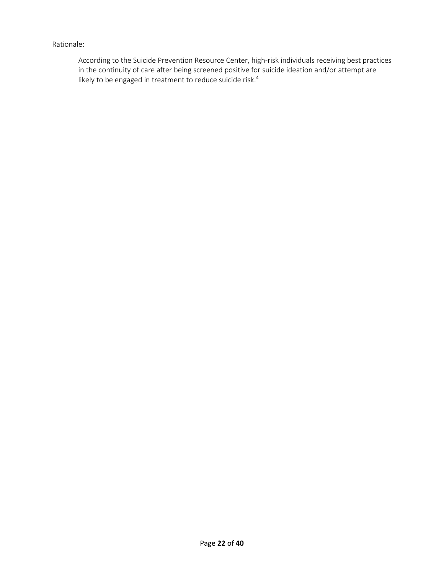#### Rationale:

According to the Suicide Prevention Resource Center, high-risk individuals receiving best practices in the continuity of care after being screened positive for suicide ideation and/or attempt are likely to be engaged in treatment to reduce suicide risk.<sup>4</sup>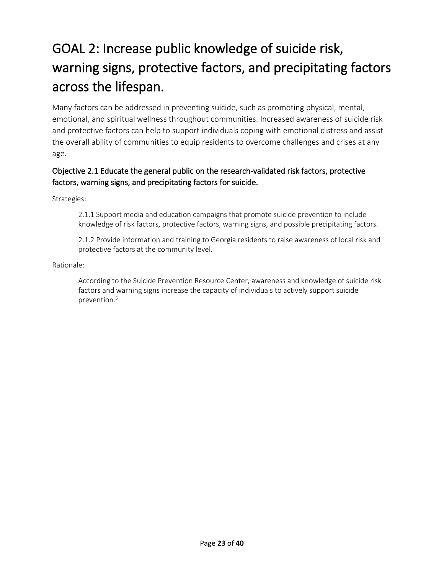# GOAL 2: Increase public knowledge of suicide risk, warning signs, protective factors, and precipitating factors across the lifespan.

Many factors can be addressed in preventing suicide, such as promoting physical, mental, emotional, and spiritual wellness throughout communities. Increased awareness of suicide risk and protective factors can help to support individuals coping with emotional distress and assist the overall ability of communities to equip residents to overcome challenges and crises at any age.

### Objective 2.1 Educate the general public on the research-validated risk factors, protective factors, warning signs, and precipitating factors for suicide.

Strategies:

2.1.1 Support media and education campaigns that promote suicide prevention to include knowledge of risk factors, protective factors, warning signs, and possible precipitating factors.

2.1.2 Provide information and training to Georgia residents to raise awareness of local risk and protective factors at the community level.

#### Rationale:

According to the Suicide Prevention Resource Center, awareness and knowledge of suicide risk factors and warning signs increase the capacity of individuals to actively support suicide prevention.5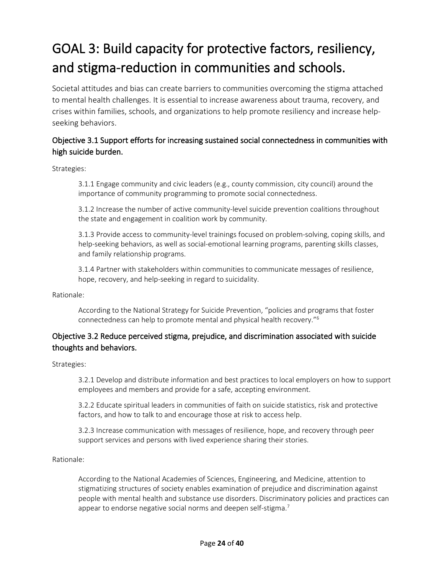# GOAL 3: Build capacity for protective factors, resiliency, and stigma-reduction in communities and schools.

Societal attitudes and bias can create barriers to communities overcoming the stigma attached to mental health challenges. It is essential to increase awareness about trauma, recovery, and crises within families, schools, and organizations to help promote resiliency and increase helpseeking behaviors.

### Objective 3.1 Support efforts for increasing sustained social connectedness in communities with high suicide burden.

Strategies:

3.1.1 Engage community and civic leaders (e.g., county commission, city council) around the importance of community programming to promote social connectedness.

3.1.2 Increase the number of active community-level suicide prevention coalitions throughout the state and engagement in coalition work by community.

3.1.3 Provide access to community-level trainings focused on problem-solving, coping skills, and help-seeking behaviors, as well as social-emotional learning programs, parenting skills classes, and family relationship programs.

3.1.4 Partner with stakeholders within communities to communicate messages of resilience, hope, recovery, and help-seeking in regard to suicidality.

Rationale:

According to the National Strategy for Suicide Prevention, "policies and programs that foster connectedness can help to promote mental and physical health recovery."6

### Objective 3.2 Reduce perceived stigma, prejudice, and discrimination associated with suicide thoughts and behaviors.

Strategies:

3.2.1 Develop and distribute information and best practices to local employers on how to support employees and members and provide for a safe, accepting environment.

3.2.2 Educate spiritual leaders in communities of faith on suicide statistics, risk and protective factors, and how to talk to and encourage those at risk to access help.

3.2.3 Increase communication with messages of resilience, hope, and recovery through peer support services and persons with lived experience sharing their stories.

Rationale:

According to the National Academies of Sciences, Engineering, and Medicine, attention to stigmatizing structures of society enables examination of prejudice and discrimination against people with mental health and substance use disorders. Discriminatory policies and practices can appear to endorse negative social norms and deepen self-stigma.<sup>7</sup>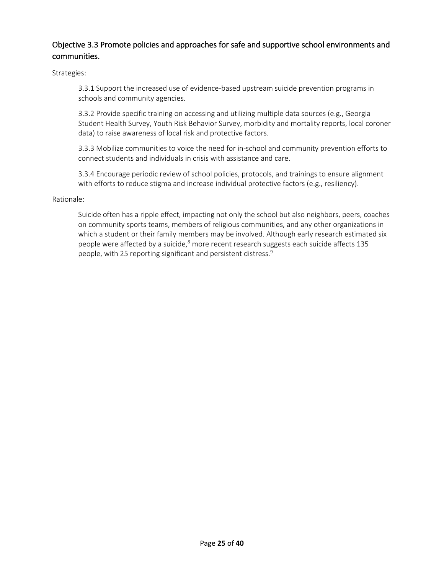#### Objective 3.3 Promote policies and approaches for safe and supportive school environments and communities.

Strategies:

3.3.1 Support the increased use of evidence-based upstream suicide prevention programs in schools and community agencies.

3.3.2 Provide specific training on accessing and utilizing multiple data sources (e.g., Georgia Student Health Survey, Youth Risk Behavior Survey, morbidity and mortality reports, local coroner data) to raise awareness of local risk and protective factors.

3.3.3 Mobilize communities to voice the need for in-school and community prevention efforts to connect students and individuals in crisis with assistance and care.

3.3.4 Encourage periodic review of school policies, protocols, and trainings to ensure alignment with efforts to reduce stigma and increase individual protective factors (e.g., resiliency).

#### Rationale:

Suicide often has a ripple effect, impacting not only the school but also neighbors, peers, coaches on community sports teams, members of religious communities, and any other organizations in which a student or their family members may be involved. Although early research estimated six people were affected by a suicide,<sup>8</sup> more recent research suggests each suicide affects 135 people, with 25 reporting significant and persistent distress.<sup>9</sup>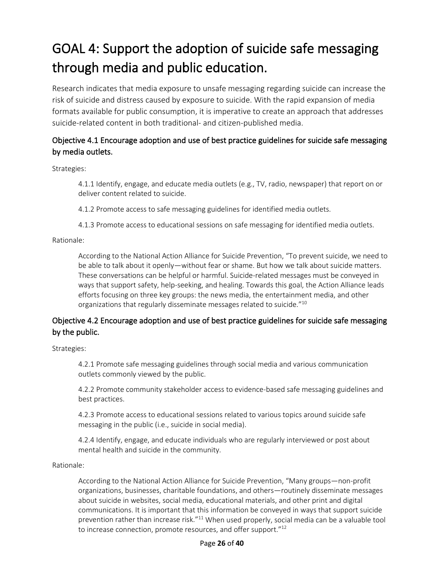# GOAL 4: Support the adoption of suicide safe messaging through media and public education.

Research indicates that media exposure to unsafe messaging regarding suicide can increase the risk of suicide and distress caused by exposure to suicide. With the rapid expansion of media formats available for public consumption, it is imperative to create an approach that addresses suicide-related content in both traditional- and citizen-published media.

## Objective 4.1 Encourage adoption and use of best practice guidelines for suicide safe messaging by media outlets.

Strategies:

4.1.1 Identify, engage, and educate media outlets (e.g., TV, radio, newspaper) that report on or deliver content related to suicide.

4.1.2 Promote access to safe messaging guidelines for identified media outlets.

4.1.3 Promote access to educational sessions on safe messaging for identified media outlets.

#### Rationale:

According to the National Action Alliance for Suicide Prevention, "To prevent suicide, we need to be able to talk about it openly—without fear or shame. But how we talk about suicide matters. These conversations can be helpful or harmful. Suicide-related messages must be conveyed in ways that support safety, help-seeking, and healing. Towards this goal, the Action Alliance leads efforts focusing on three key groups: the news media, the entertainment media, and other organizations that regularly disseminate messages related to suicide."10

#### Objective 4.2 Encourage adoption and use of best practice guidelines for suicide safe messaging by the public.

Strategies:

4.2.1 Promote safe messaging guidelines through social media and various communication outlets commonly viewed by the public.

4.2.2 Promote community stakeholder access to evidence-based safe messaging guidelines and best practices.

4.2.3 Promote access to educational sessions related to various topics around suicide safe messaging in the public (i.e., suicide in social media).

4.2.4 Identify, engage, and educate individuals who are regularly interviewed or post about mental health and suicide in the community.

Rationale:

According to the National Action Alliance for Suicide Prevention, "Many groups—non-profit organizations, businesses, charitable foundations, and others—routinely disseminate messages about suicide in websites, social media, educational materials, and other print and digital communications. It is important that this information be conveyed in ways that support suicide prevention rather than increase risk."<sup>11</sup> When used properly, social media can be a valuable tool to increase connection, promote resources, and offer support."<sup>12</sup>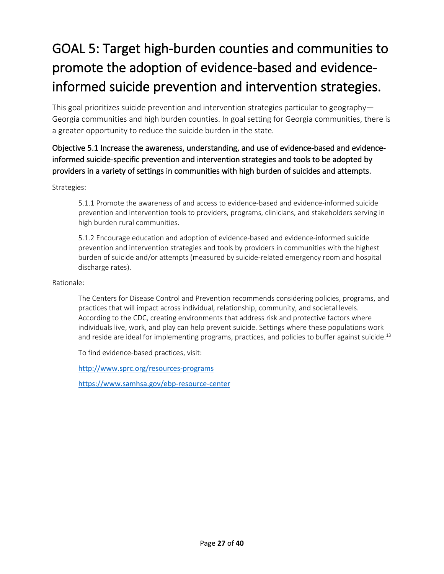# GOAL 5: Target high-burden counties and communities to promote the adoption of evidence-based and evidenceinformed suicide prevention and intervention strategies.

This goal prioritizes suicide prevention and intervention strategies particular to geography— Georgia communities and high burden counties. In goal setting for Georgia communities, there is a greater opportunity to reduce the suicide burden in the state.

### Objective 5.1 Increase the awareness, understanding, and use of evidence-based and evidenceinformed suicide-specific prevention and intervention strategies and tools to be adopted by providers in a variety of settings in communities with high burden of suicides and attempts.

#### Strategies:

5.1.1 Promote the awareness of and access to evidence-based and evidence-informed suicide prevention and intervention tools to providers, programs, clinicians, and stakeholders serving in high burden rural communities.

5.1.2 Encourage education and adoption of evidence-based and evidence-informed suicide prevention and intervention strategies and tools by providers in communities with the highest burden of suicide and/or attempts (measured by suicide-related emergency room and hospital discharge rates).

#### Rationale:

The Centers for Disease Control and Prevention recommends considering policies, programs, and practices that will impact across individual, relationship, community, and societal levels. According to the CDC, creating environments that address risk and protective factors where individuals live, work, and play can help prevent suicide. Settings where these populations work and reside are ideal for implementing programs, practices, and policies to buffer against suicide.<sup>13</sup>

To find evidence-based practices, visit:

<http://www.sprc.org/resources-programs>

<https://www.samhsa.gov/ebp-resource-center>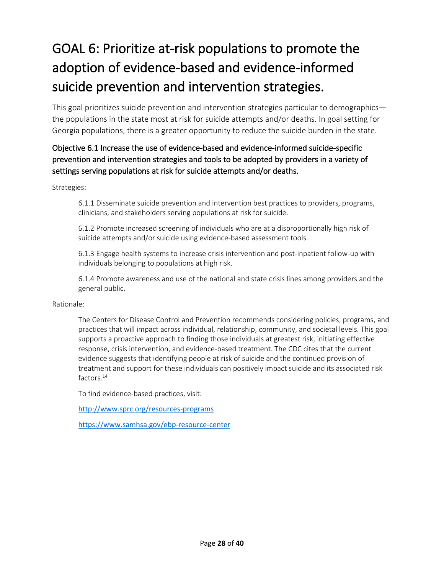# GOAL 6: Prioritize at-risk populations to promote the adoption of evidence-based and evidence-informed suicide prevention and intervention strategies.

This goal prioritizes suicide prevention and intervention strategies particular to demographics the populations in the state most at risk for suicide attempts and/or deaths. In goal setting for Georgia populations, there is a greater opportunity to reduce the suicide burden in the state.

## Objective 6.1 Increase the use of evidence-based and evidence-informed suicide-specific prevention and intervention strategies and tools to be adopted by providers in a variety of settings serving populations at risk for suicide attempts and/or deaths.

#### Strategies:

6.1.1 Disseminate suicide prevention and intervention best practices to providers, programs, clinicians, and stakeholders serving populations at risk for suicide.

6.1.2 Promote increased screening of individuals who are at a disproportionally high risk of suicide attempts and/or suicide using evidence-based assessment tools.

6.1.3 Engage health systems to increase crisis intervention and post-inpatient follow-up with individuals belonging to populations at high risk.

6.1.4 Promote awareness and use of the national and state crisis lines among providers and the general public.

#### Rationale:

The Centers for Disease Control and Prevention recommends considering policies, programs, and practices that will impact across individual, relationship, community, and societal levels. This goal supports a proactive approach to finding those individuals at greatest risk, initiating effective response, crisis intervention, and evidence-based treatment. The CDC cites that the current evidence suggests that identifying people at risk of suicide and the continued provision of treatment and support for these individuals can positively impact suicide and its associated risk factors.14

To find evidence-based practices, visit:

<http://www.sprc.org/resources-programs>

<https://www.samhsa.gov/ebp-resource-center>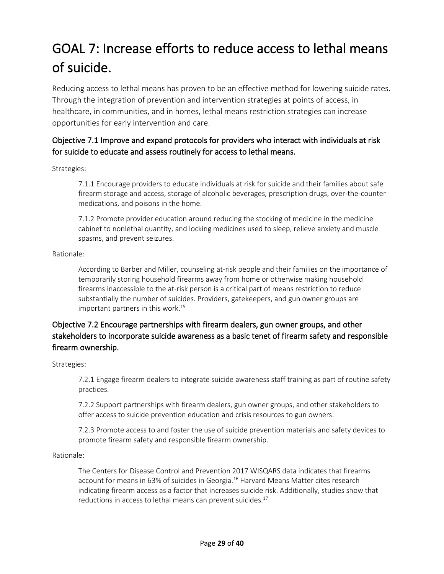# GOAL 7: Increase efforts to reduce access to lethal means of suicide.

Reducing access to lethal means has proven to be an effective method for lowering suicide rates. Through the integration of prevention and intervention strategies at points of access, in healthcare, in communities, and in homes, lethal means restriction strategies can increase opportunities for early intervention and care.

## Objective 7.1 Improve and expand protocols for providers who interact with individuals at risk for suicide to educate and assess routinely for access to lethal means.

#### Strategies:

7.1.1 Encourage providers to educate individuals at risk for suicide and their families about safe firearm storage and access, storage of alcoholic beverages, prescription drugs, over-the-counter medications, and poisons in the home.

7.1.2 Promote provider education around reducing the stocking of medicine in the medicine cabinet to nonlethal quantity, and locking medicines used to sleep, relieve anxiety and muscle spasms, and prevent seizures.

#### Rationale:

According to Barber and Miller, counseling at-risk people and their families on the importance of temporarily storing household firearms away from home or otherwise making household firearms inaccessible to the at-risk person is a critical part of means restriction to reduce substantially the number of suicides. Providers, gatekeepers, and gun owner groups are important partners in this work. 15

## Objective 7.2 Encourage partnerships with firearm dealers, gun owner groups, and other stakeholders to incorporate suicide awareness as a basic tenet of firearm safety and responsible firearm ownership.

Strategies:

7.2.1 Engage firearm dealers to integrate suicide awareness staff training as part of routine safety practices.

7.2.2 Support partnerships with firearm dealers, gun owner groups, and other stakeholders to offer access to suicide prevention education and crisis resources to gun owners.

7.2.3 Promote access to and foster the use of suicide prevention materials and safety devices to promote firearm safety and responsible firearm ownership.

#### Rationale:

The Centers for Disease Control and Prevention 2017 WISQARS data indicates that firearms account for means in 63% of suicides in Georgia.16 Harvard Means Matter cites research indicating firearm access as a factor that increases suicide risk. Additionally, studies show that reductions in access to lethal means can prevent suicides.<sup>17</sup>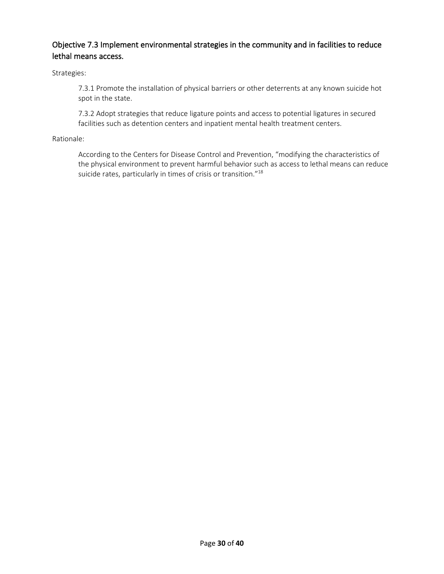## Objective 7.3 Implement environmental strategies in the community and in facilities to reduce lethal means access.

Strategies:

7.3.1 Promote the installation of physical barriers or other deterrents at any known suicide hot spot in the state.

7.3.2 Adopt strategies that reduce ligature points and access to potential ligatures in secured facilities such as detention centers and inpatient mental health treatment centers.

#### Rationale:

According to the Centers for Disease Control and Prevention, "modifying the characteristics of the physical environment to prevent harmful behavior such as access to lethal means can reduce suicide rates, particularly in times of crisis or transition."<sup>18</sup>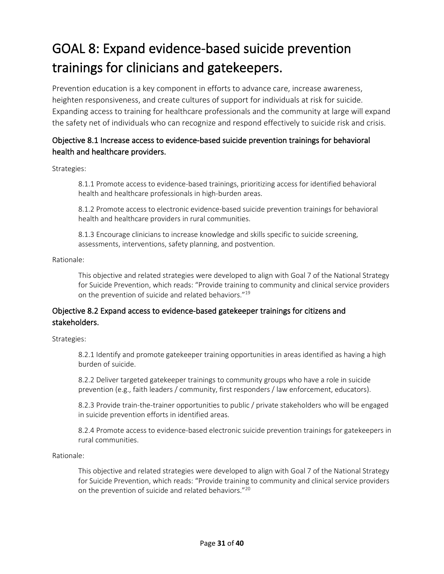# GOAL 8: Expand evidence-based suicide prevention trainings for clinicians and gatekeepers.

Prevention education is a key component in efforts to advance care, increase awareness, heighten responsiveness, and create cultures of support for individuals at risk for suicide. Expanding access to training for healthcare professionals and the community at large will expand the safety net of individuals who can recognize and respond effectively to suicide risk and crisis.

### Objective 8.1 Increase access to evidence-based suicide prevention trainings for behavioral health and healthcare providers.

Strategies:

8.1.1 Promote access to evidence-based trainings, prioritizing access for identified behavioral health and healthcare professionals in high-burden areas.

8.1.2 Promote access to electronic evidence-based suicide prevention trainings for behavioral health and healthcare providers in rural communities.

8.1.3 Encourage clinicians to increase knowledge and skills specific to suicide screening, assessments, interventions, safety planning, and postvention.

Rationale:

This objective and related strategies were developed to align with Goal 7 of the National Strategy for Suicide Prevention, which reads: "Provide training to community and clinical service providers on the prevention of suicide and related behaviors."19

### Objective 8.2 Expand access to evidence-based gatekeeper trainings for citizens and stakeholders.

Strategies:

8.2.1 Identify and promote gatekeeper training opportunities in areas identified as having a high burden of suicide.

8.2.2 Deliver targeted gatekeeper trainings to community groups who have a role in suicide prevention (e.g., faith leaders / community, first responders / law enforcement, educators).

8.2.3 Provide train-the-trainer opportunities to public / private stakeholders who will be engaged in suicide prevention efforts in identified areas.

8.2.4 Promote access to evidence-based electronic suicide prevention trainings for gatekeepers in rural communities.

Rationale:

This objective and related strategies were developed to align with Goal 7 of the National Strategy for Suicide Prevention, which reads: "Provide training to community and clinical service providers on the prevention of suicide and related behaviors."20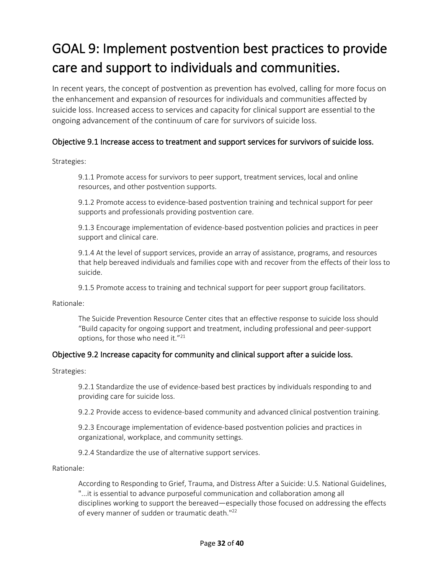# GOAL 9: Implement postvention best practices to provide care and support to individuals and communities.

In recent years, the concept of postvention as prevention has evolved, calling for more focus on the enhancement and expansion of resources for individuals and communities affected by suicide loss. Increased access to services and capacity for clinical support are essential to the ongoing advancement of the continuum of care for survivors of suicide loss.

#### Objective 9.1 Increase access to treatment and support services for survivors of suicide loss.

Strategies:

9.1.1 Promote access for survivors to peer support, treatment services, local and online resources, and other postvention supports.

9.1.2 Promote access to evidence-based postvention training and technical support for peer supports and professionals providing postvention care.

9.1.3 Encourage implementation of evidence-based postvention policies and practices in peer support and clinical care.

9.1.4 At the level of support services, provide an array of assistance, programs, and resources that help bereaved individuals and families cope with and recover from the effects of their loss to suicide.

9.1.5 Promote access to training and technical support for peer support group facilitators.

Rationale:

The Suicide Prevention Resource Center cites that an effective response to suicide loss should "Build capacity for ongoing support and treatment, including professional and peer-support options, for those who need it."<sup>21</sup>

#### Objective 9.2 Increase capacity for community and clinical support after a suicide loss.

Strategies:

9.2.1 Standardize the use of evidence-based best practices by individuals responding to and providing care for suicide loss.

9.2.2 Provide access to evidence-based community and advanced clinical postvention training.

9.2.3 Encourage implementation of evidence-based postvention policies and practices in organizational, workplace, and community settings.

9.2.4 Standardize the use of alternative support services.

Rationale:

According to Responding to Grief, Trauma, and Distress After a Suicide: U.S. National Guidelines, "...it is essential to advance purposeful communication and collaboration among all disciplines working to support the bereaved—especially those focused on addressing the effects of every manner of sudden or traumatic death."22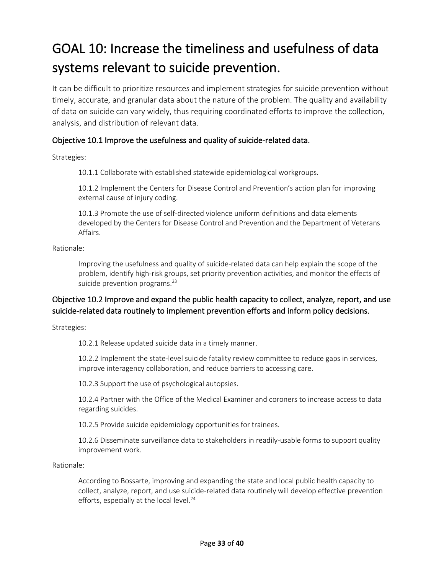# GOAL 10: Increase the timeliness and usefulness of data systems relevant to suicide prevention.

It can be difficult to prioritize resources and implement strategies for suicide prevention without timely, accurate, and granular data about the nature of the problem. The quality and availability of data on suicide can vary widely, thus requiring coordinated efforts to improve the collection, analysis, and distribution of relevant data.

#### Objective 10.1 Improve the usefulness and quality of suicide-related data.

Strategies:

10.1.1 Collaborate with established statewide epidemiological workgroups.

10.1.2 Implement the Centers for Disease Control and Prevention's action plan for improving external cause of injury coding.

10.1.3 Promote the use of self-directed violence uniform definitions and data elements developed by the Centers for Disease Control and Prevention and the Department of Veterans Affairs.

Rationale:

Improving the usefulness and quality of suicide-related data can help explain the scope of the problem, identify high-risk groups, set priority prevention activities, and monitor the effects of suicide prevention programs.<sup>23</sup>

### Objective 10.2 Improve and expand the public health capacity to collect, analyze, report, and use suicide-related data routinely to implement prevention efforts and inform policy decisions.

Strategies:

10.2.1 Release updated suicide data in a timely manner.

10.2.2 Implement the state-level suicide fatality review committee to reduce gaps in services, improve interagency collaboration, and reduce barriers to accessing care.

10.2.3 Support the use of psychological autopsies.

10.2.4 Partner with the Office of the Medical Examiner and coroners to increase access to data regarding suicides.

10.2.5 Provide suicide epidemiology opportunities for trainees.

10.2.6 Disseminate surveillance data to stakeholders in readily-usable forms to support quality improvement work.

Rationale:

According to Bossarte, improving and expanding the state and local public health capacity to collect, analyze, report, and use suicide-related data routinely will develop effective prevention efforts, especially at the local level.<sup>24</sup>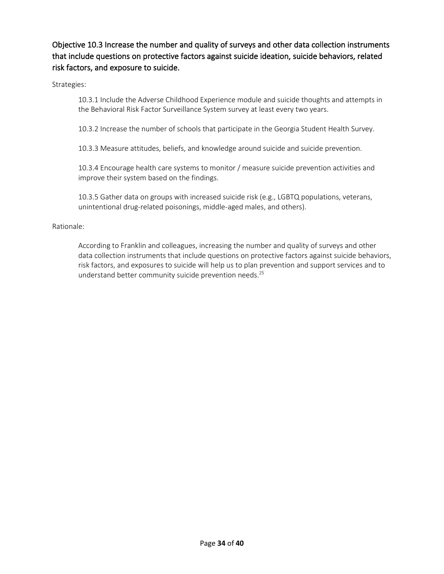## Objective 10.3 Increase the number and quality of surveys and other data collection instruments that include questions on protective factors against suicide ideation, suicide behaviors, related risk factors, and exposure to suicide.

Strategies:

10.3.1 Include the Adverse Childhood Experience module and suicide thoughts and attempts in the Behavioral Risk Factor Surveillance System survey at least every two years.

10.3.2 Increase the number of schools that participate in the Georgia Student Health Survey.

10.3.3 Measure attitudes, beliefs, and knowledge around suicide and suicide prevention.

10.3.4 Encourage health care systems to monitor / measure suicide prevention activities and improve their system based on the findings.

10.3.5 Gather data on groups with increased suicide risk (e.g., LGBTQ populations, veterans, unintentional drug-related poisonings, middle-aged males, and others).

#### Rationale:

According to Franklin and colleagues, increasing the number and quality of surveys and other data collection instruments that include questions on protective factors against suicide behaviors, risk factors, and exposures to suicide will help us to plan prevention and support services and to understand better community suicide prevention needs.<sup>25</sup>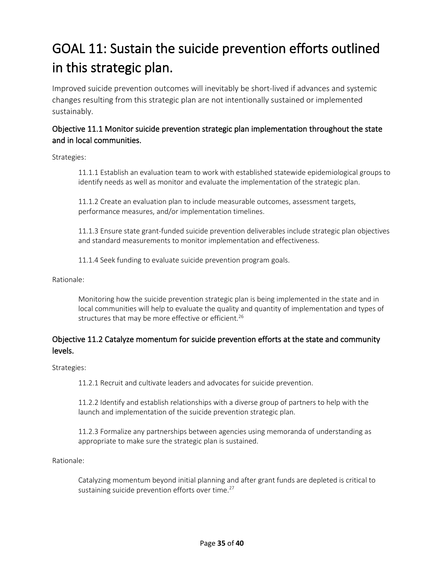# GOAL 11: Sustain the suicide prevention efforts outlined in this strategic plan.

Improved suicide prevention outcomes will inevitably be short-lived if advances and systemic changes resulting from this strategic plan are not intentionally sustained or implemented sustainably.

### Objective 11.1 Monitor suicide prevention strategic plan implementation throughout the state and in local communities.

Strategies:

11.1.1 Establish an evaluation team to work with established statewide epidemiological groups to identify needs as well as monitor and evaluate the implementation of the strategic plan.

11.1.2 Create an evaluation plan to include measurable outcomes, assessment targets, performance measures, and/or implementation timelines.

11.1.3 Ensure state grant-funded suicide prevention deliverables include strategic plan objectives and standard measurements to monitor implementation and effectiveness.

11.1.4 Seek funding to evaluate suicide prevention program goals.

Rationale:

Monitoring how the suicide prevention strategic plan is being implemented in the state and in local communities will help to evaluate the quality and quantity of implementation and types of structures that may be more effective or efficient.<sup>26</sup>

### Objective 11.2 Catalyze momentum for suicide prevention efforts at the state and community levels.

Strategies:

11.2.1 Recruit and cultivate leaders and advocates for suicide prevention.

11.2.2 Identify and establish relationships with a diverse group of partners to help with the launch and implementation of the suicide prevention strategic plan.

11.2.3 Formalize any partnerships between agencies using memoranda of understanding as appropriate to make sure the strategic plan is sustained.

Rationale:

Catalyzing momentum beyond initial planning and after grant funds are depleted is critical to sustaining suicide prevention efforts over time.<sup>27</sup>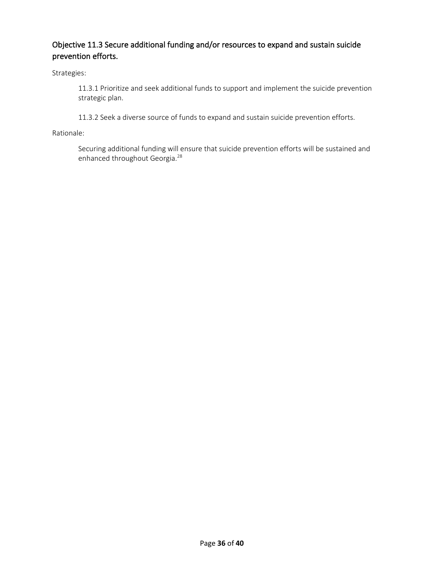## Objective 11.3 Secure additional funding and/or resources to expand and sustain suicide prevention efforts.

Strategies:

11.3.1 Prioritize and seek additional funds to support and implement the suicide prevention strategic plan.

11.3.2 Seek a diverse source of funds to expand and sustain suicide prevention efforts.

Rationale:

Securing additional funding will ensure that suicide prevention efforts will be sustained and enhanced throughout Georgia.<sup>28</sup>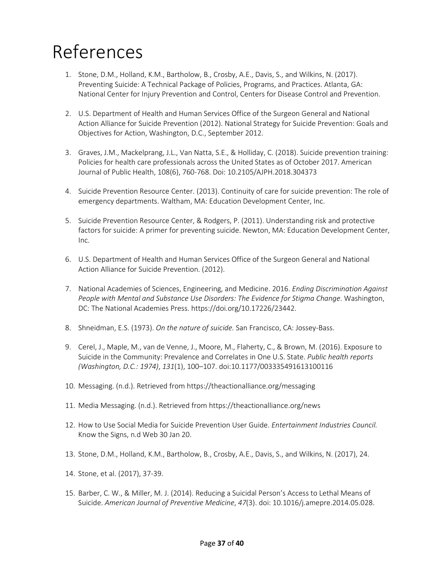# References

- 1. Stone, D.M., Holland, K.M., Bartholow, B., Crosby, A.E., Davis, S., and Wilkins, N. (2017). Preventing Suicide: A Technical Package of Policies, Programs, and Practices. Atlanta, GA: National Center for Injury Prevention and Control, Centers for Disease Control and Prevention.
- 2. U.S. Department of Health and Human Services Office of the Surgeon General and National Action Alliance for Suicide Prevention (2012). National Strategy for Suicide Prevention: Goals and Objectives for Action, Washington, D.C., September 2012.
- 3. Graves, J.M., Mackelprang, J.L., Van Natta, S.E., & Holliday, C. (2018). Suicide prevention training: Policies for health care professionals across the United States as of October 2017. American Journal of Public Health, 108(6), 760-768. Doi: 10.2105/AJPH.2018.304373
- 4. Suicide Prevention Resource Center. (2013). Continuity of care for suicide prevention: The role of emergency departments. Waltham, MA: Education Development Center, Inc.
- 5. Suicide Prevention Resource Center, & Rodgers, P. (2011). Understanding risk and protective factors for suicide: A primer for preventing suicide. Newton, MA: Education Development Center, Inc.
- 6. U.S. Department of Health and Human Services Office of the Surgeon General and National Action Alliance for Suicide Prevention. (2012).
- 7. National Academies of Sciences, Engineering, and Medicine. 2016. *Ending Discrimination Against People with Mental and Substance Use Disorders: The Evidence for Stigma Change*. Washington, DC: The National Academies Press. https://doi.org/10.17226/23442.
- 8. Shneidman, E.S. (1973). *On the nature of suicide.* San Francisco, CA: Jossey-Bass.
- 9. Cerel, J., Maple, M., van de Venne, J., Moore, M., Flaherty, C., & Brown, M. (2016). Exposure to Suicide in the Community: Prevalence and Correlates in One U.S. State. *Public health reports (Washington, D.C.: 1974)*, *131*(1), 100–107. doi:10.1177/003335491613100116
- 10. Messaging. (n.d.). Retrieved from https://theactionalliance.org/messaging
- 11. Media Messaging. (n.d.). Retrieved from https://theactionalliance.org/news
- 12. How to Use Social Media for Suicide Prevention User Guide. *Entertainment Industries Council.*  Know the Signs, n.d Web 30 Jan 20.
- 13. Stone, D.M., Holland, K.M., Bartholow, B., Crosby, A.E., Davis, S., and Wilkins, N. (2017), 24.
- 14. Stone, et al. (2017), 37-39.
- 15. Barber, C. W., & Miller, M. J. (2014). Reducing a Suicidal Person's Access to Lethal Means of Suicide. *American Journal of Preventive Medicine*, *47*(3). doi: 10.1016/j.amepre.2014.05.028.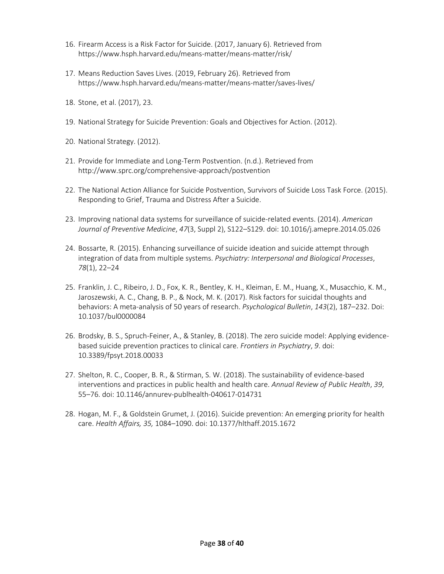- 16. Firearm Access is a Risk Factor for Suicide. (2017, January 6). Retrieved from https://www.hsph.harvard.edu/means-matter/means-matter/risk/
- 17. Means Reduction Saves Lives. (2019, February 26). Retrieved from https://www.hsph.harvard.edu/means-matter/means-matter/saves-lives/
- 18. Stone, et al. (2017), 23.
- 19. National Strategy for Suicide Prevention: Goals and Objectives for Action. (2012).
- 20. National Strategy. (2012).
- 21. Provide for Immediate and Long-Term Postvention. (n.d.). Retrieved from http://www.sprc.org/comprehensive-approach/postvention
- 22. The National Action Alliance for Suicide Postvention, Survivors of Suicide Loss Task Force. (2015). Responding to Grief, Trauma and Distress After a Suicide.
- 23. Improving national data systems for surveillance of suicide-related events. (2014). *American Journal of Preventive Medicine*, *47*(3, Suppl 2), S122–S129. doi: 10.1016/j.amepre.2014.05.026
- 24. Bossarte, R. (2015). Enhancing surveillance of suicide ideation and suicide attempt through integration of data from multiple systems. *Psychiatry: Interpersonal and Biological Processes*, *78*(1), 22–24
- 25. Franklin, J. C., Ribeiro, J. D., Fox, K. R., Bentley, K. H., Kleiman, E. M., Huang, X., Musacchio, K. M., Jaroszewski, A. C., Chang, B. P., & Nock, M. K. (2017). Risk factors for suicidal thoughts and behaviors: A meta-analysis of 50 years of research. *Psychological Bulletin*, *143*(2), 187–232. Doi: 10.1037/bul0000084
- 26. Brodsky, B. S., Spruch-Feiner, A., & Stanley, B. (2018). The zero suicide model: Applying evidencebased suicide prevention practices to clinical care. *Frontiers in Psychiatry*, *9*. doi: 10.3389/fpsyt.2018.00033
- 27. Shelton, R. C., Cooper, B. R., & Stirman, S. W. (2018). The sustainability of evidence-based interventions and practices in public health and health care. *Annual Review of Public Health*, *39*, 55–76. doi: 10.1146/annurev-publhealth-040617-014731
- 28. Hogan, M. F., & Goldstein Grumet, J. (2016). Suicide prevention: An emerging priority for health care. *Health Affairs, 35,* 1084–1090. doi: 10.1377/hlthaff.2015.1672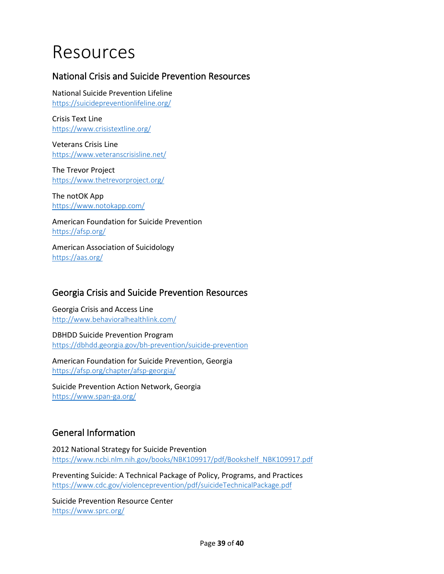# Resources

## National Crisis and Suicide Prevention Resources

National Suicide Prevention Lifeline <https://suicidepreventionlifeline.org/>

Crisis Text Line <https://www.crisistextline.org/>

Veterans Crisis Line <https://www.veteranscrisisline.net/>

The Trevor Project <https://www.thetrevorproject.org/>

The notOK App <https://www.notokapp.com/>

American Foundation for Suicide Prevention <https://afsp.org/>

American Association of Suicidology <https://aas.org/>

## Georgia Crisis and Suicide Prevention Resources

Georgia Crisis and Access Line <http://www.behavioralhealthlink.com/>

DBHDD Suicide Prevention Program <https://dbhdd.georgia.gov/bh-prevention/suicide-prevention>

American Foundation for Suicide Prevention, Georgia <https://afsp.org/chapter/afsp-georgia/>

Suicide Prevention Action Network, Georgia <https://www.span-ga.org/>

## General Information

2012 National Strategy for Suicide Prevention [https://www.ncbi.nlm.nih.gov/books/NBK109917/pdf/Bookshelf\\_NBK109917.pdf](https://www.ncbi.nlm.nih.gov/books/NBK109917/pdf/Bookshelf_NBK109917.pdf)

Preventing Suicide: A Technical Package of Policy, Programs, and Practices <https://www.cdc.gov/violenceprevention/pdf/suicideTechnicalPackage.pdf>

Suicide Prevention Resource Center <https://www.sprc.org/>